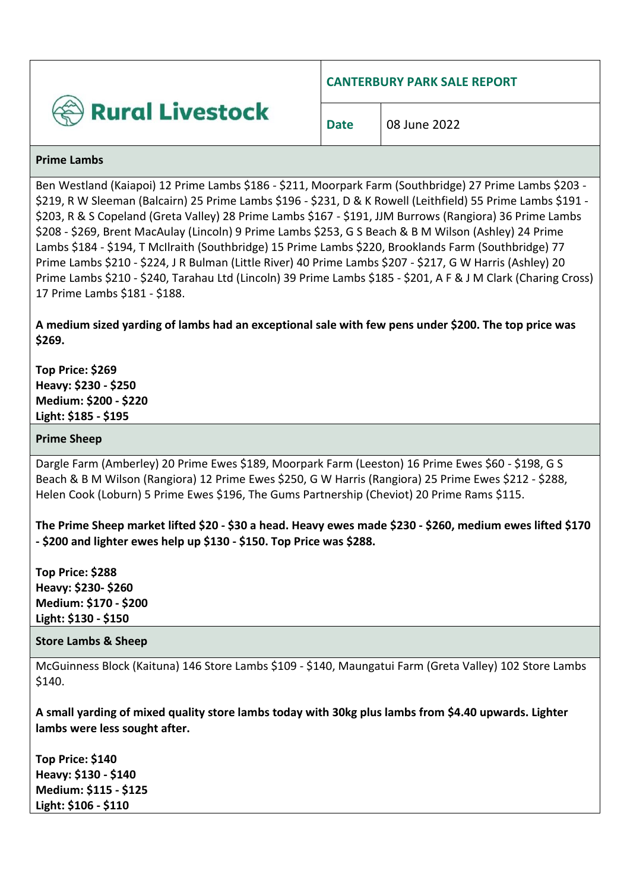

**CANTERBURY PARK SALE REPORT**

#### **Prime Lambs**

Ben Westland (Kaiapoi) 12 Prime Lambs \$186 - \$211, Moorpark Farm (Southbridge) 27 Prime Lambs \$203 -\$219, R W Sleeman (Balcairn) 25 Prime Lambs \$196 - \$231, D & K Rowell (Leithfield) 55 Prime Lambs \$191 - \$203, R & S Copeland (Greta Valley) 28 Prime Lambs \$167 - \$191, JJM Burrows (Rangiora) 36 Prime Lambs \$208 - \$269, Brent MacAulay (Lincoln) 9 Prime Lambs \$253, G S Beach & B M Wilson (Ashley) 24 Prime Lambs \$184 - \$194, T McIlraith (Southbridge) 15 Prime Lambs \$220, Brooklands Farm (Southbridge) 77 Prime Lambs \$210 - \$224, J R Bulman (Little River) 40 Prime Lambs \$207 - \$217, G W Harris (Ashley) 20 Prime Lambs \$210 - \$240, Tarahau Ltd (Lincoln) 39 Prime Lambs \$185 - \$201, A F & J M Clark (Charing Cross) 17 Prime Lambs \$181 - \$188.

**A medium sized yarding of lambs had an exceptional sale with few pens under \$200. The top price was \$269.**

**Top Price: \$269 Heavy: \$230 - \$250 Medium: \$200 - \$220 Light: \$185 - \$195**

# **Prime Sheep**

Dargle Farm (Amberley) 20 Prime Ewes \$189, Moorpark Farm (Leeston) 16 Prime Ewes \$60 - \$198, G S Beach & B M Wilson (Rangiora) 12 Prime Ewes \$250, G W Harris (Rangiora) 25 Prime Ewes \$212 - \$288, Helen Cook (Loburn) 5 Prime Ewes \$196, The Gums Partnership (Cheviot) 20 Prime Rams \$115.

**The Prime Sheep market lifted \$20 - \$30 a head. Heavy ewes made \$230 - \$260, medium ewes lifted \$170 - \$200 and lighter ewes help up \$130 - \$150. Top Price was \$288.** 

**Top Price: \$288 Heavy: \$230- \$260 Medium: \$170 - \$200 Light: \$130 - \$150**

## **Store Lambs & Sheep**

McGuinness Block (Kaituna) 146 Store Lambs \$109 - \$140, Maungatui Farm (Greta Valley) 102 Store Lambs \$140.

**A small yarding of mixed quality store lambs today with 30kg plus lambs from \$4.40 upwards. Lighter lambs were less sought after.** 

**Top Price: \$140 Heavy: \$130 - \$140 Medium: \$115 - \$125 Light: \$106 - \$110**